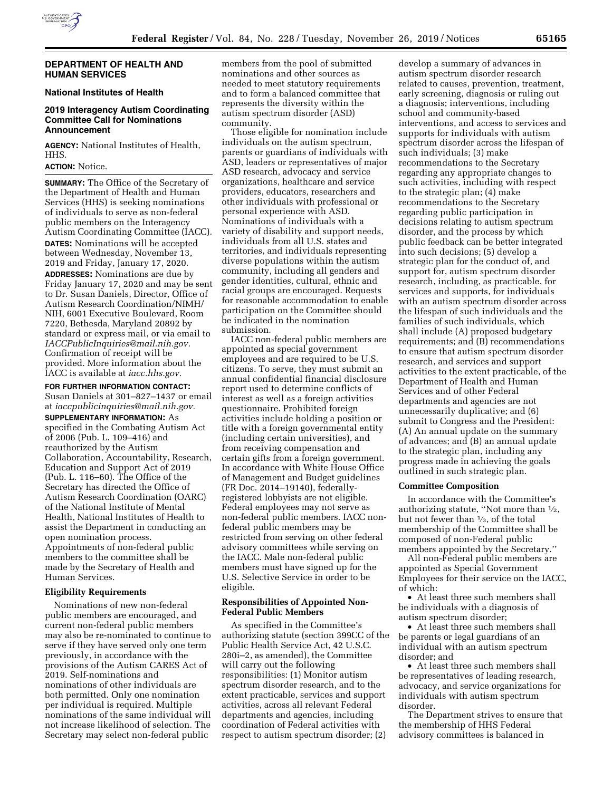

### **DEPARTMENT OF HEALTH AND HUMAN SERVICES**

## **National Institutes of Health**

# **2019 Interagency Autism Coordinating Committee Call for Nominations Announcement**

**AGENCY:** National Institutes of Health, HHS.

# **ACTION:** Notice.

**SUMMARY:** The Office of the Secretary of the Department of Health and Human Services (HHS) is seeking nominations of individuals to serve as non-federal public members on the Interagency Autism Coordinating Committee (IACC). **DATES:** Nominations will be accepted between Wednesday, November 13, 2019 and Friday, January 17, 2020. **ADDRESSES:** Nominations are due by Friday January 17, 2020 and may be sent to Dr. Susan Daniels, Director, Office of Autism Research Coordination/NIMH/ NIH, 6001 Executive Boulevard, Room 7220, Bethesda, Maryland 20892 by standard or express mail, or via email to *[IACCPublicInquiries@mail.nih.gov.](mailto:IACCPublicInquiries@mail.nih.gov)*  Confirmation of receipt will be provided. More information about the IACC is available at *iacc.hhs.gov.* 

**FOR FURTHER INFORMATION CONTACT:** 

Susan Daniels at 301–827–1437 or email at *[iaccpublicinquiries@mail.nih.gov.](mailto:iaccpublicinquiries@mail.nih.gov)* 

**SUPPLEMENTARY INFORMATION:** As specified in the Combating Autism Act of 2006 (Pub. L. 109–416) and reauthorized by the Autism Collaboration, Accountability, Research, Education and Support Act of 2019 (Pub. L. 116–60). The Office of the Secretary has directed the Office of Autism Research Coordination (OARC) of the National Institute of Mental Health, National Institutes of Health to assist the Department in conducting an open nomination process. Appointments of non-federal public members to the committee shall be made by the Secretary of Health and Human Services.

### **Eligibility Requirements**

Nominations of new non-federal public members are encouraged, and current non-federal public members may also be re-nominated to continue to serve if they have served only one term previously, in accordance with the provisions of the Autism CARES Act of 2019. Self-nominations and nominations of other individuals are both permitted. Only one nomination per individual is required. Multiple nominations of the same individual will not increase likelihood of selection. The Secretary may select non-federal public

members from the pool of submitted nominations and other sources as needed to meet statutory requirements and to form a balanced committee that represents the diversity within the autism spectrum disorder (ASD) community.

Those eligible for nomination include individuals on the autism spectrum, parents or guardians of individuals with ASD, leaders or representatives of major ASD research, advocacy and service organizations, healthcare and service providers, educators, researchers and other individuals with professional or personal experience with ASD. Nominations of individuals with a variety of disability and support needs, individuals from all U.S. states and territories, and individuals representing diverse populations within the autism community, including all genders and gender identities, cultural, ethnic and racial groups are encouraged. Requests for reasonable accommodation to enable participation on the Committee should be indicated in the nomination submission.

IACC non-federal public members are appointed as special government employees and are required to be U.S. citizens. To serve, they must submit an annual confidential financial disclosure report used to determine conflicts of interest as well as a foreign activities questionnaire. Prohibited foreign activities include holding a position or title with a foreign governmental entity (including certain universities), and from receiving compensation and certain gifts from a foreign government. In accordance with White House Office of Management and Budget guidelines (FR Doc. 2014–19140), federallyregistered lobbyists are not eligible. Federal employees may not serve as non-federal public members. IACC nonfederal public members may be restricted from serving on other federal advisory committees while serving on the IACC. Male non-federal public members must have signed up for the U.S. Selective Service in order to be eligible.

## **Responsibilities of Appointed Non-Federal Public Members**

As specified in the Committee's authorizing statute (section 399CC of the Public Health Service Act, 42 U.S.C. 280i–2, as amended), the Committee will carry out the following responsibilities: (1) Monitor autism spectrum disorder research, and to the extent practicable, services and support activities, across all relevant Federal departments and agencies, including coordination of Federal activities with respect to autism spectrum disorder; (2)

develop a summary of advances in autism spectrum disorder research related to causes, prevention, treatment, early screening, diagnosis or ruling out a diagnosis; interventions, including school and community-based interventions, and access to services and supports for individuals with autism spectrum disorder across the lifespan of such individuals; (3) make recommendations to the Secretary regarding any appropriate changes to such activities, including with respect to the strategic plan; (4) make recommendations to the Secretary regarding public participation in decisions relating to autism spectrum disorder, and the process by which public feedback can be better integrated into such decisions; (5) develop a strategic plan for the conduct of, and support for, autism spectrum disorder research, including, as practicable, for services and supports, for individuals with an autism spectrum disorder across the lifespan of such individuals and the families of such individuals, which shall include (A) proposed budgetary requirements; and (B) recommendations to ensure that autism spectrum disorder research, and services and support activities to the extent practicable, of the Department of Health and Human Services and of other Federal departments and agencies are not unnecessarily duplicative; and (6) submit to Congress and the President: (A) An annual update on the summary of advances; and (B) an annual update to the strategic plan, including any progress made in achieving the goals outlined in such strategic plan.

#### **Committee Composition**

In accordance with the Committee's authorizing statute, ''Not more than 1⁄2, but not fewer than  $\frac{1}{3}$ , of the total membership of the Committee shall be composed of non-Federal public members appointed by the Secretary.''

All non-Federal public members are appointed as Special Government Employees for their service on the IACC, of which:

• At least three such members shall be individuals with a diagnosis of autism spectrum disorder;

• At least three such members shall be parents or legal guardians of an individual with an autism spectrum disorder; and

• At least three such members shall be representatives of leading research, advocacy, and service organizations for individuals with autism spectrum disorder.

The Department strives to ensure that the membership of HHS Federal advisory committees is balanced in